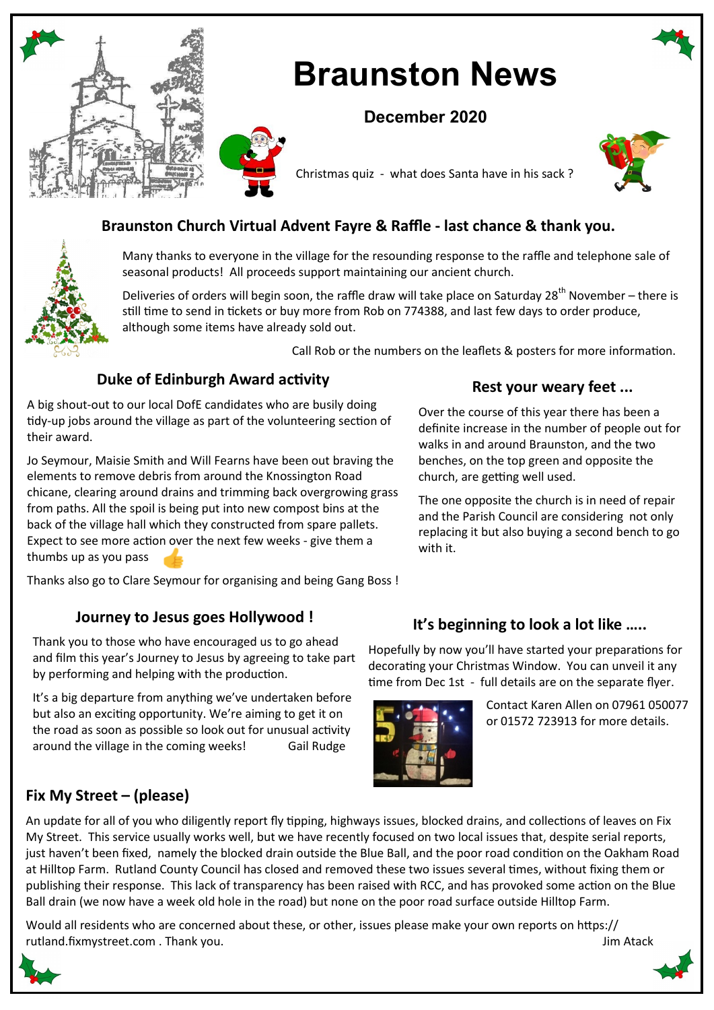

# **Braunston News**

# **December 2020**





# **Braunston Church Virtual Advent Fayre & Raffle - last chance & thank you.**

Many thanks to everyone in the village for the resounding response to the raffle and telephone sale of seasonal products! All proceeds support maintaining our ancient church.

Deliveries of orders will begin soon, the raffle draw will take place on Saturday 28<sup>th</sup> November – there is still time to send in tickets or buy more from Rob on 774388, and last few days to order produce, although some items have already sold out.

Call Rob or the numbers on the leaflets & posters for more information.

church, are getting well used.

**Rest your weary feet ...**

Over the course of this year there has been a definite increase in the number of people out for walks in and around Braunston, and the two benches, on the top green and opposite the

The one opposite the church is in need of repair and the Parish Council are considering not only replacing it but also buying a second bench to go

# **Duke of Edinburgh Award activity**

A big shout-out to our local DofE candidates who are busily doing tidy-up jobs around the village as part of the volunteering section of their award.

Jo Seymour, Maisie Smith and Will Fearns have been out braving the elements to remove debris from around the Knossington Road chicane, clearing around drains and trimming back overgrowing grass from paths. All the spoil is being put into new compost bins at the back of the village hall which they constructed from spare pallets. Expect to see more action over the next few weeks - give them a thumbs up as you pass

Thanks also go to Clare Seymour for organising and being Gang Boss !

## **Journey to Jesus goes Hollywood !**

Thank you to those who have encouraged us to go ahead and film this year's Journey to Jesus by agreeing to take part by performing and helping with the production.

It's a big departure from anything we've undertaken before but also an exciting opportunity. We're aiming to get it on the road as soon as possible so look out for unusual activity around the village in the coming weeks! Gail Rudge

# **It's beginning to look a lot like …..**

Hopefully by now you'll have started your preparations for decorating your Christmas Window. You can unveil it any time from Dec 1st - full details are on the separate flyer.



with it.

Contact Karen Allen on 07961 050077 or 01572 723913 for more details.

## **Fix My Street – (please)**

An update for all of you who diligently report fly tipping, highways issues, blocked drains, and collections of leaves on Fix My Street. This service usually works well, but we have recently focused on two local issues that, despite serial reports, just haven't been fixed, namely the blocked drain outside the Blue Ball, and the poor road condition on the Oakham Road at Hilltop Farm. Rutland County Council has closed and removed these two issues several times, without fixing them or publishing their response. This lack of transparency has been raised with RCC, and has provoked some action on the Blue Ball drain (we now have a week old hole in the road) but none on the poor road surface outside Hilltop Farm.

Would all residents who are concerned about these, or other, issues please make your own reports on https:// rutland.fixmystreet.com . Thank you. Jim Atack